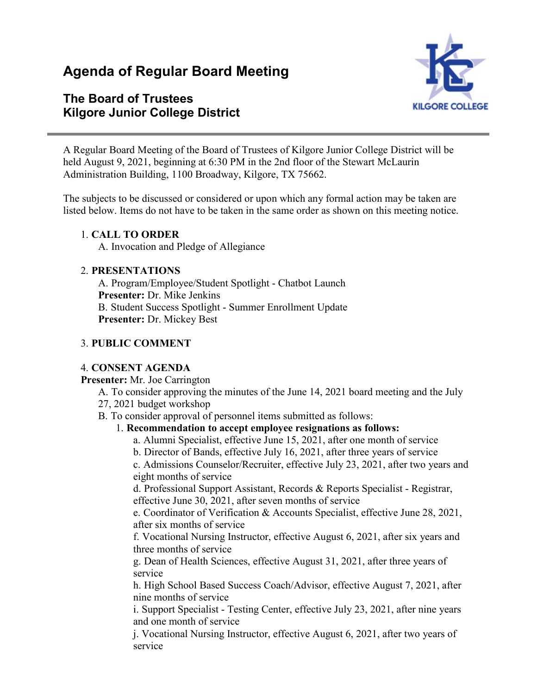# **Agenda of Regular Board Meeting**

# **The Board of Trustees Kilgore Junior College District**



A Regular Board Meeting of the Board of Trustees of Kilgore Junior College District will be held August 9, 2021, beginning at 6:30 PM in the 2nd floor of the Stewart McLaurin Administration Building, 1100 Broadway, Kilgore, TX 75662.

The subjects to be discussed or considered or upon which any formal action may be taken are listed below. Items do not have to be taken in the same order as shown on this meeting notice.

#### 1. **CALL TO ORDER**

A. Invocation and Pledge of Allegiance

#### 2. **PRESENTATIONS**

A. Program/Employee/Student Spotlight - Chatbot Launch **Presenter:** Dr. Mike Jenkins B. Student Success Spotlight - Summer Enrollment Update **Presenter:** Dr. Mickey Best

#### 3. **PUBLIC COMMENT**

#### 4. **CONSENT AGENDA**

**Presenter:** Mr. Joe Carrington

A. To consider approving the minutes of the June 14, 2021 board meeting and the July 27, 2021 budget workshop

B. To consider approval of personnel items submitted as follows:

#### 1. **Recommendation to accept employee resignations as follows:**

- a. Alumni Specialist, effective June 15, 2021, after one month of service
- b. Director of Bands, effective July 16, 2021, after three years of service

c. Admissions Counselor/Recruiter, effective July 23, 2021, after two years and eight months of service

d. Professional Support Assistant, Records & Reports Specialist - Registrar, effective June 30, 2021, after seven months of service

e. Coordinator of Verification & Accounts Specialist, effective June 28, 2021, after six months of service

f. Vocational Nursing Instructor, effective August 6, 2021, after six years and three months of service

g. Dean of Health Sciences, effective August 31, 2021, after three years of service

h. High School Based Success Coach/Advisor, effective August 7, 2021, after nine months of service

i. Support Specialist - Testing Center, effective July 23, 2021, after nine years and one month of service

j. Vocational Nursing Instructor, effective August 6, 2021, after two years of service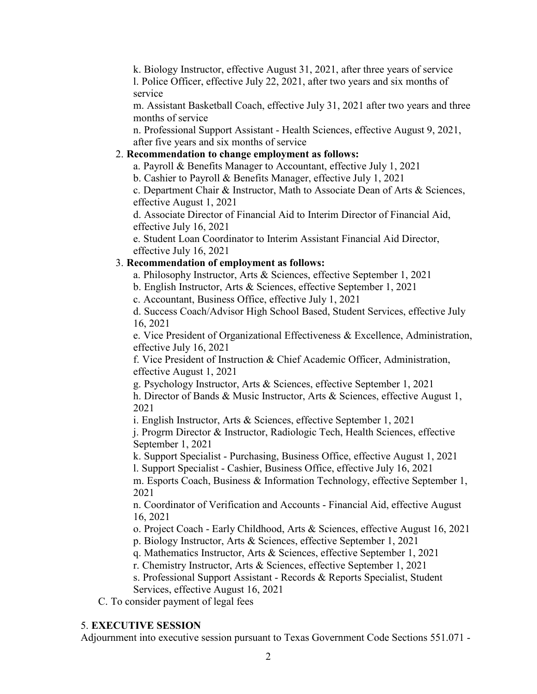k. Biology Instructor, effective August 31, 2021, after three years of service l. Police Officer, effective July 22, 2021, after two years and six months of service

m. Assistant Basketball Coach, effective July 31, 2021 after two years and three months of service

n. Professional Support Assistant - Health Sciences, effective August 9, 2021, after five years and six months of service

#### 2. **Recommendation to change employment as follows:**

a. Payroll & Benefits Manager to Accountant, effective July 1, 2021

b. Cashier to Payroll & Benefits Manager, effective July 1, 2021

c. Department Chair & Instructor, Math to Associate Dean of Arts & Sciences, effective August 1, 2021

d. Associate Director of Financial Aid to Interim Director of Financial Aid, effective July 16, 2021

e. Student Loan Coordinator to Interim Assistant Financial Aid Director, effective July 16, 2021

#### 3. **Recommendation of employment as follows:**

a. Philosophy Instructor, Arts & Sciences, effective September 1, 2021

b. English Instructor, Arts & Sciences, effective September 1, 2021

c. Accountant, Business Office, effective July 1, 2021

d. Success Coach/Advisor High School Based, Student Services, effective July 16, 2021

e. Vice President of Organizational Effectiveness & Excellence, Administration, effective July 16, 2021

f. Vice President of Instruction & Chief Academic Officer, Administration, effective August 1, 2021

g. Psychology Instructor, Arts & Sciences, effective September 1, 2021

h. Director of Bands & Music Instructor, Arts & Sciences, effective August 1, 2021

i. English Instructor, Arts & Sciences, effective September 1, 2021

j. Progrm Director & Instructor, Radiologic Tech, Health Sciences, effective September 1, 2021

k. Support Specialist - Purchasing, Business Office, effective August 1, 2021 l. Support Specialist - Cashier, Business Office, effective July 16, 2021

m. Esports Coach, Business & Information Technology, effective September 1, 2021

n. Coordinator of Verification and Accounts - Financial Aid, effective August 16, 2021

o. Project Coach - Early Childhood, Arts & Sciences, effective August 16, 2021

p. Biology Instructor, Arts & Sciences, effective September 1, 2021

q. Mathematics Instructor, Arts & Sciences, effective September 1, 2021

r. Chemistry Instructor, Arts & Sciences, effective September 1, 2021

s. Professional Support Assistant - Records & Reports Specialist, Student Services, effective August 16, 2021

C. To consider payment of legal fees

#### 5. **EXECUTIVE SESSION**

Adjournment into executive session pursuant to Texas Government Code Sections 551.071 -